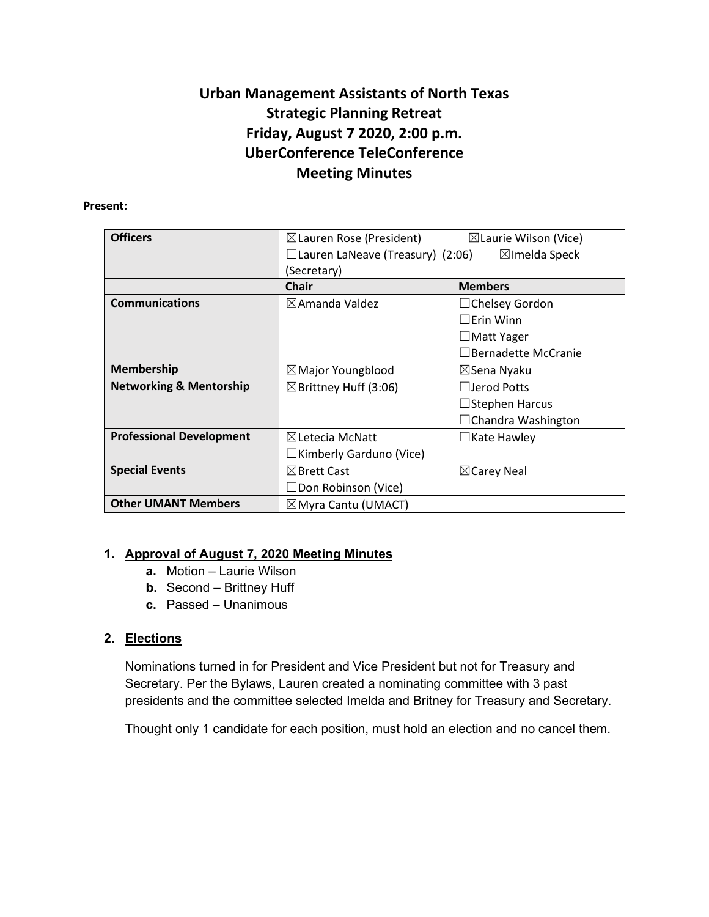# **Urban Management Assistants of North Texas Strategic Planning Retreat Friday, August 7 2020, 2:00 p.m. UberConference TeleConference Meeting Minutes**

#### **Present:**

| <b>Officers</b>                    | $\boxtimes$ Lauren Rose (President)     | $\boxtimes$ Laurie Wilson (Vice) |
|------------------------------------|-----------------------------------------|----------------------------------|
|                                    | $\Box$ Lauren LaNeave (Treasury) (2:06) | $\boxtimes$ Imelda Speck         |
|                                    | (Secretary)                             |                                  |
|                                    | <b>Chair</b>                            | <b>Members</b>                   |
| <b>Communications</b>              | $\boxtimes$ Amanda Valdez               | $\Box$ Chelsey Gordon            |
|                                    |                                         | $\Box$ Erin Winn                 |
|                                    |                                         | $\Box$ Matt Yager                |
|                                    |                                         | $\Box$ Bernadette McCranie       |
| <b>Membership</b>                  | $\boxtimes$ Major Youngblood            | ⊠Sena Nyaku                      |
| <b>Networking &amp; Mentorship</b> | $\boxtimes$ Brittney Huff (3:06)        | $\Box$ Jerod Potts               |
|                                    |                                         | $\Box$ Stephen Harcus            |
|                                    |                                         | $\Box$ Chandra Washington        |
| <b>Professional Development</b>    | $\boxtimes$ Letecia McNatt              | $\Box$ Kate Hawley               |
|                                    | $\Box$ Kimberly Garduno (Vice)          |                                  |
| <b>Special Events</b>              | $\boxtimes$ Brett Cast                  | $\boxtimes$ Carey Neal           |
|                                    | $\Box$ Don Robinson (Vice)              |                                  |
| <b>Other UMANT Members</b>         | $\boxtimes$ Myra Cantu (UMACT)          |                                  |

# **1. Approval of August 7, 2020 Meeting Minutes**

- **a.** Motion Laurie Wilson
- **b.** Second Brittney Huff
- **c.** Passed Unanimous

# **2. Elections**

Nominations turned in for President and Vice President but not for Treasury and Secretary. Per the Bylaws, Lauren created a nominating committee with 3 past presidents and the committee selected Imelda and Britney for Treasury and Secretary.

Thought only 1 candidate for each position, must hold an election and no cancel them.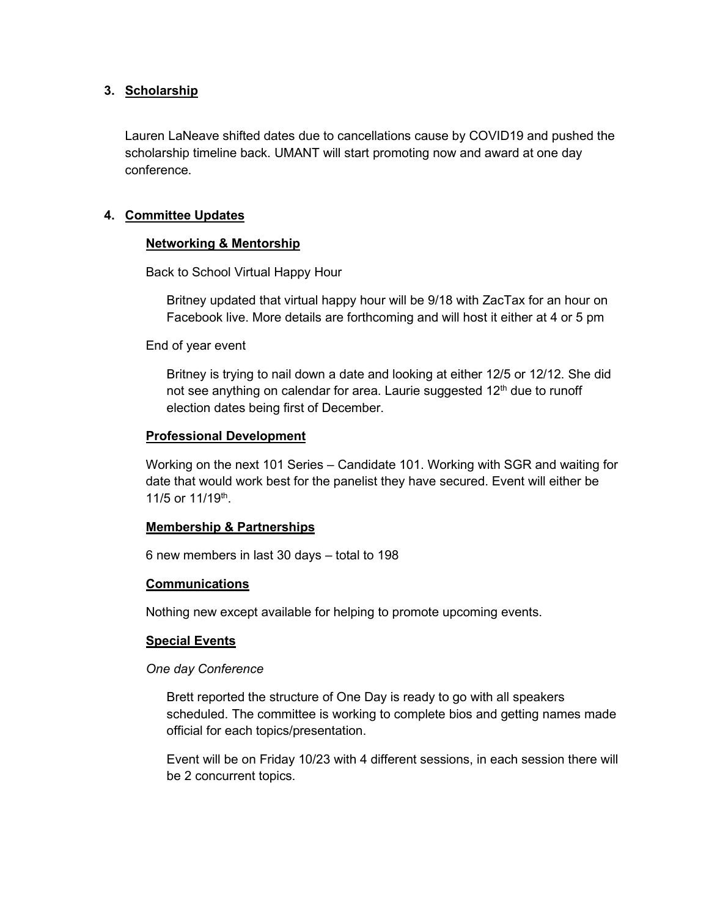#### **3. Scholarship**

Lauren LaNeave shifted dates due to cancellations cause by COVID19 and pushed the scholarship timeline back. UMANT will start promoting now and award at one day conference.

## **4. Committee Updates**

## **Networking & Mentorship**

Back to School Virtual Happy Hour

Britney updated that virtual happy hour will be 9/18 with ZacTax for an hour on Facebook live. More details are forthcoming and will host it either at 4 or 5 pm

End of year event

Britney is trying to nail down a date and looking at either 12/5 or 12/12. She did not see anything on calendar for area. Laurie suggested  $12<sup>th</sup>$  due to runoff election dates being first of December.

#### **Professional Development**

Working on the next 101 Series – Candidate 101. Working with SGR and waiting for date that would work best for the panelist they have secured. Event will either be 11/5 or 11/19th.

#### **Membership & Partnerships**

6 new members in last 30 days – total to 198

#### **Communications**

Nothing new except available for helping to promote upcoming events.

#### **Special Events**

#### *One day Conference*

Brett reported the structure of One Day is ready to go with all speakers scheduled. The committee is working to complete bios and getting names made official for each topics/presentation.

Event will be on Friday 10/23 with 4 different sessions, in each session there will be 2 concurrent topics.